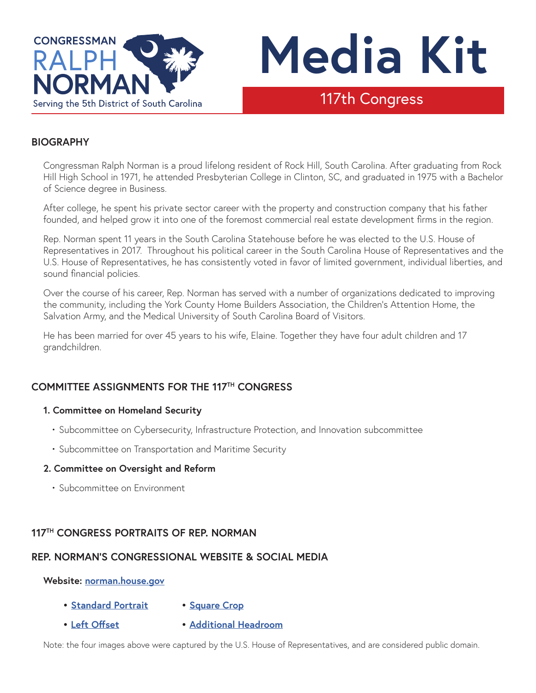



# 117th Congress

## **BIOGRAPHY**

Congressman Ralph Norman is a proud lifelong resident of Rock Hill, South Carolina. After graduating from Rock Hill High School in 1971, he attended Presbyterian College in Clinton, SC, and graduated in 1975 with a Bachelor of Science degree in Business.

After college, he spent his private sector career with the property and construction company that his father founded, and helped grow it into one of the foremost commercial real estate development firms in the region.

Rep. Norman spent 11 years in the South Carolina Statehouse before he was elected to the U.S. House of Representatives in 2017. Throughout his political career in the South Carolina House of Representatives and the U.S. House of Representatives, he has consistently voted in favor of limited government, individual liberties, and sound financial policies.

Over the course of his career, Rep. Norman has served with a number of organizations dedicated to improving the community, including the York County Home Builders Association, the Children's Attention Home, the Salvation Army, and the Medical University of South Carolina Board of Visitors.

He has been married for over 45 years to his wife, Elaine. Together they have four adult children and 17 grandchildren.

# **COMMITTEE ASSIGNMENTS FOR THE 117TH CONGRESS**

#### **1. Committee on Homeland Security**

- Subcommittee on Cybersecurity, Infrastructure Protection, and Innovation subcommittee
- Subcommittee on Transportation and Maritime Security

#### **2. Committee on Oversight and Reform**

• Subcommittee on Environment

### **117TH CONGRESS PORTRAITS OF REP. NORMAN**

### **REP. NORMAN'S CONGRESSIONAL WEBSITE & SOCIAL MEDIA**

#### **Website: [norman.house.gov](https://norman.house.gov)**

- **• [Standard Portrait](https://norman.house.gov/uploadedphotos/highresolution/27cd8ed4-c93a-453d-bf6d-cbfd8ab1da16.jpg) • [Square Crop](https://norman.house.gov/uploadedphotos/highresolution/c513f6bc-7cc6-436c-847b-2212c1cafd22.jpg)**
- **• [Left Offset](https://norman.house.gov/uploadedphotos/highresolution/d5bcb2a3-3dc2-46e7-87af-7d4d186ab3d0.jpg)**
- 

**• [Additional Headroom](https://norman.house.gov/uploadedphotos/highresolution/110e35ff-738d-4112-9b02-0a095a86e5ca.jpg)**

Note: the four images above were captured by the U.S. House of Representatives, and are considered public domain.